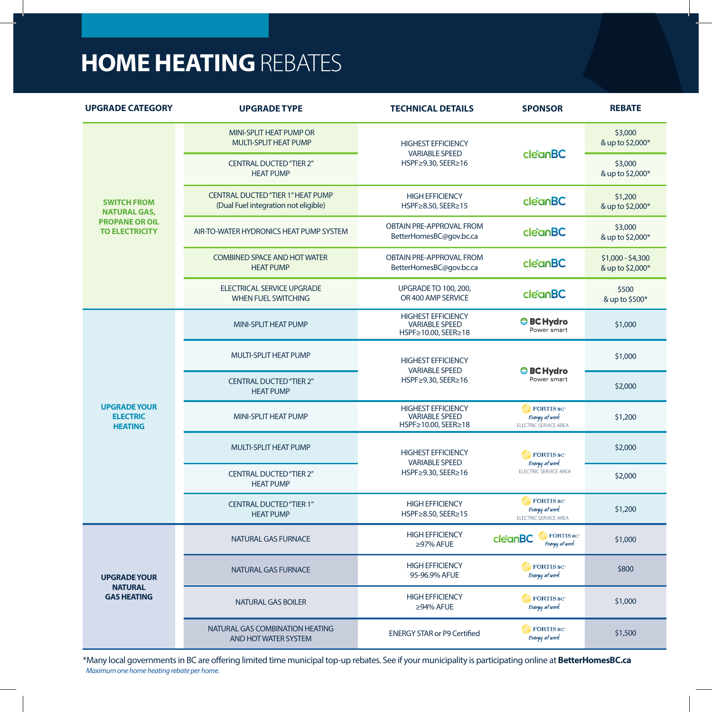## **HOME HEATING** REBATES

| <b>UPGRADE CATEGORY</b>                                                                     | <b>UPGRADE TYPE</b>                                                       | <b>TECHNICAL DETAILS</b>                                                                                            | <b>SPONSOR</b>                                       | <b>REBATE</b>                         |
|---------------------------------------------------------------------------------------------|---------------------------------------------------------------------------|---------------------------------------------------------------------------------------------------------------------|------------------------------------------------------|---------------------------------------|
| <b>SWITCH FROM</b><br><b>NATURAL GAS,</b><br><b>PROPANE OR OIL</b><br><b>TO ELECTRICITY</b> | MINI-SPLIT HEAT PUMP OR<br>MULTI-SPLIT HEAT PUMP                          | <b>HIGHEST EFFICIENCY</b><br><b>VARIABLE SPEED</b><br>HSPF≥9.30, SEER≥16                                            | clean <b>BC</b>                                      | \$3,000<br>& up to \$2,000*           |
|                                                                                             | <b>CENTRAL DUCTED "TIER 2"</b><br><b>HEAT PUMP</b>                        |                                                                                                                     |                                                      | \$3,000<br>& up to \$2,000*           |
|                                                                                             | CENTRAL DUCTED "TIER 1" HEAT PUMP<br>(Dual Fuel integration not eligible) | <b>HIGH EFFICIENCY</b><br>HSPF≥8.50, SEER≥15                                                                        | cleanBC                                              | \$1,200<br>& up to \$2,000*           |
|                                                                                             | AIR-TO-WATER HYDRONICS HEAT PUMP SYSTEM                                   | <b>OBTAIN PRE-APPROVAL FROM</b><br>BetterHomesBC@gov.bc.ca                                                          | clean <b>BC</b>                                      | \$3,000<br>& up to \$2,000*           |
|                                                                                             | <b>COMBINED SPACE AND HOT WATER</b><br><b>HEAT PUMP</b>                   | <b>OBTAIN PRE-APPROVAL FROM</b><br>BetterHomesBC@gov.bc.ca                                                          | clean <b>BC</b>                                      | $$1,000 - $4,300$<br>& up to \$2,000* |
|                                                                                             | ELECTRICAL SERVICE UPGRADE<br><b>WHEN FUEL SWITCHING</b>                  | <b>UPGRADETO 100, 200,</b><br>OR 400 AMP SERVICE                                                                    | cleanBC                                              | \$500<br>& up to \$500*               |
| <b>UPGRADE YOUR</b><br><b>ELECTRIC</b><br><b>HEATING</b>                                    | MINI-SPLIT HEAT PUMP                                                      | <b>HIGHEST EFFICIENCY</b><br><b>VARIABLE SPEED</b><br>HSPF≥10.00, SEER≥18                                           | <b><i>O</i></b> BC Hydro<br>Power smart              | \$1,000                               |
|                                                                                             | <b>MULTI-SPLIT HEAT PUMP</b>                                              | <b>HIGHEST EFFICIENCY</b><br><b>VARIABLE SPEED</b><br><b><i>O</i></b> BC Hydro<br>Power smart<br>HSPF≥9.30, SEER≥16 |                                                      | \$1,000                               |
|                                                                                             | <b>CENTRAL DUCTED "TIER 2"</b><br><b>HEAT PUMP</b>                        |                                                                                                                     |                                                      | \$2,000                               |
|                                                                                             | MINI-SPLIT HEAT PUMP                                                      | <b>HIGHEST EFFICIENCY</b><br><b>VARIABLE SPEED</b><br>HSPF≥10.00, SEER≥18                                           | FORTIS BC<br>Energy at work<br>ELECTRIC SERVICE AREA | \$1,200                               |
|                                                                                             | <b>MULTI-SPLIT HEAT PUMP</b>                                              | <b>HIGHEST EFFICIENCY</b><br><b>VARIABLE SPEED</b><br>HSPF≥9.30, SEER≥16                                            | FORTIS BC<br>Energy at work<br>ELECTRIC SERVICE AREA | \$2,000                               |
|                                                                                             | <b>CENTRAL DUCTED "TIER 2"</b><br><b>HEAT PUMP</b>                        |                                                                                                                     |                                                      | \$2,000                               |
|                                                                                             | <b>CENTRAL DUCTED "TIER 1"</b><br><b>HEAT PUMP</b>                        | <b>HIGH EFFICIENCY</b><br>HSPF≥8.50, SEER≥15                                                                        | FORTIS BC<br>Energy at work<br>ELECTRIC SERVICE AREA | \$1,200                               |
| <b>UPGRADE YOUR</b><br><b>NATURAL</b><br><b>GAS HEATING</b>                                 | <b>NATURAL GAS FURNACE</b>                                                | <b>HIGH EFFICIENCY</b><br>≥97% AFUE                                                                                 | FORTIS BC<br>cleanBC<br>Energy at work               | \$1,000                               |
|                                                                                             | <b>NATURAL GAS FURNACE</b>                                                | <b>HIGH EFFICIENCY</b><br>95-96.9% AFUE                                                                             | FORTIS BC<br>Energy at work                          | \$800                                 |
|                                                                                             | <b>NATURAL GAS BOILER</b>                                                 | <b>HIGH EFFICIENCY</b><br>≥94% AFUE                                                                                 | FORTIS BC<br>Energy at work                          | \$1,000                               |
|                                                                                             | NATURAL GAS COMBINATION HEATING<br><b>AND HOT WATER SYSTEM</b>            | <b>ENERGY STAR or P9 Certified</b>                                                                                  | FORTIS BC<br>Energy at work                          | \$1,500                               |

\*Many local governments in BC are offering limited time municipal top-up rebates. See if your municipality is participating online at **BetterHomesBC.ca** *Maximum one home heating rebate per home.*